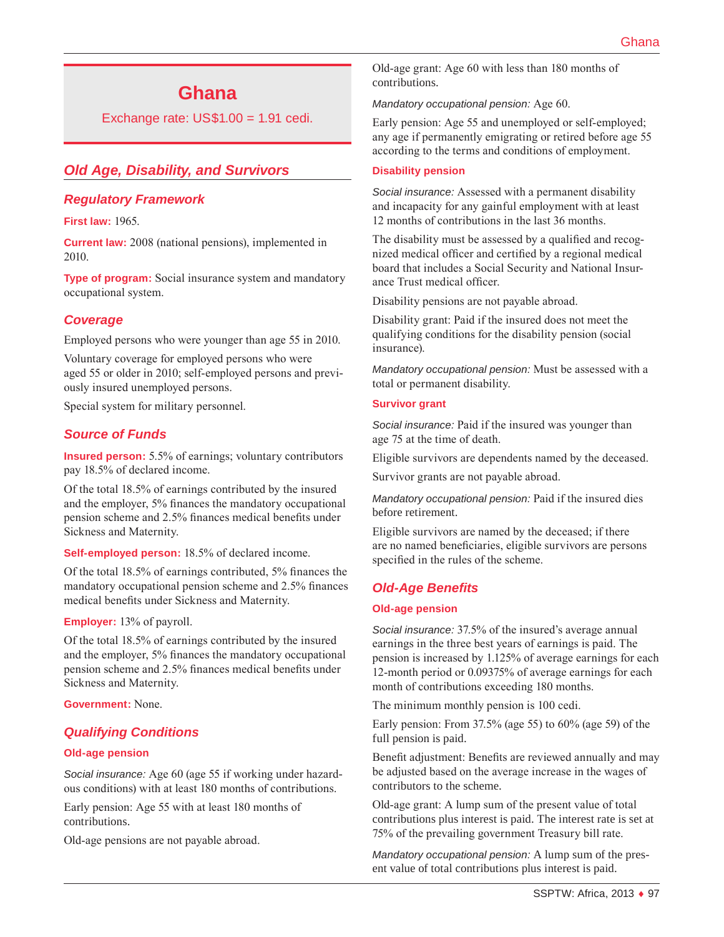# **Ghana**

Exchange rate:  $US$1.00 = 1.91$  cedi.

# *Old Age, Disability, and Survivors*

#### *Regulatory Framework*

**First law:** 1965.

**Current law:** 2008 (national pensions), implemented in 2010.

**Type of program:** Social insurance system and mandatory occupational system.

#### *Coverage*

Employed persons who were younger than age 55 in 2010.

Voluntary coverage for employed persons who were aged 55 or older in 2010; self-employed persons and previously insured unemployed persons.

Special system for military personnel.

#### *Source of Funds*

**Insured person:** 5.5% of earnings; voluntary contributors pay 18.5% of declared income.

Of the total 18.5% of earnings contributed by the insured and the employer, 5% finances the mandatory occupational pension scheme and 2.5% finances medical benefits under Sickness and Maternity.

**Self-employed person:** 18.5% of declared income.

Of the total 18.5% of earnings contributed, 5% finances the mandatory occupational pension scheme and 2.5% finances medical benefits under Sickness and Maternity.

#### **Employer:** 13% of payroll.

Of the total 18.5% of earnings contributed by the insured and the employer, 5% finances the mandatory occupational pension scheme and 2.5% finances medical benefits under Sickness and Maternity.

**Government:** None.

#### *Qualifying Conditions*

#### **Old-age pension**

*Social insurance:* Age 60 (age 55 if working under hazardous conditions) with at least 180 months of contributions.

Early pension: Age 55 with at least 180 months of contributions.

Old-age pensions are not payable abroad.

Old-age grant: Age 60 with less than 180 months of contributions.

*Mandatory occupational pension:* Age 60.

Early pension: Age 55 and unemployed or self-employed; any age if permanently emigrating or retired before age 55 according to the terms and conditions of employment.

#### **Disability pension**

*Social insurance:* Assessed with a permanent disability and incapacity for any gainful employment with at least 12 months of contributions in the last 36 months.

The disability must be assessed by a qualified and recognized medical officer and certified by a regional medical board that includes a Social Security and National Insurance Trust medical officer.

Disability pensions are not payable abroad.

Disability grant: Paid if the insured does not meet the qualifying conditions for the disability pension (social insurance).

*Mandatory occupational pension:* Must be assessed with a total or permanent disability.

#### **Survivor grant**

*Social insurance:* Paid if the insured was younger than age 75 at the time of death.

Eligible survivors are dependents named by the deceased.

Survivor grants are not payable abroad.

*Mandatory occupational pension:* Paid if the insured dies before retirement.

Eligible survivors are named by the deceased; if there are no named beneficiaries, eligible survivors are persons specified in the rules of the scheme.

#### *Old-Age Benefits*

#### **Old-age pension**

*Social insurance:* 37.5% of the insured's average annual earnings in the three best years of earnings is paid. The pension is increased by 1.125% of average earnings for each 12-month period or 0.09375% of average earnings for each month of contributions exceeding 180 months.

The minimum monthly pension is 100 cedi.

Early pension: From 37.5% (age 55) to 60% (age 59) of the full pension is paid.

Benefit adjustment: Benefits are reviewed annually and may be adjusted based on the average increase in the wages of contributors to the scheme.

Old-age grant: A lump sum of the present value of total contributions plus interest is paid. The interest rate is set at 75% of the prevailing government Treasury bill rate.

*Mandatory occupational pension:* A lump sum of the present value of total contributions plus interest is paid.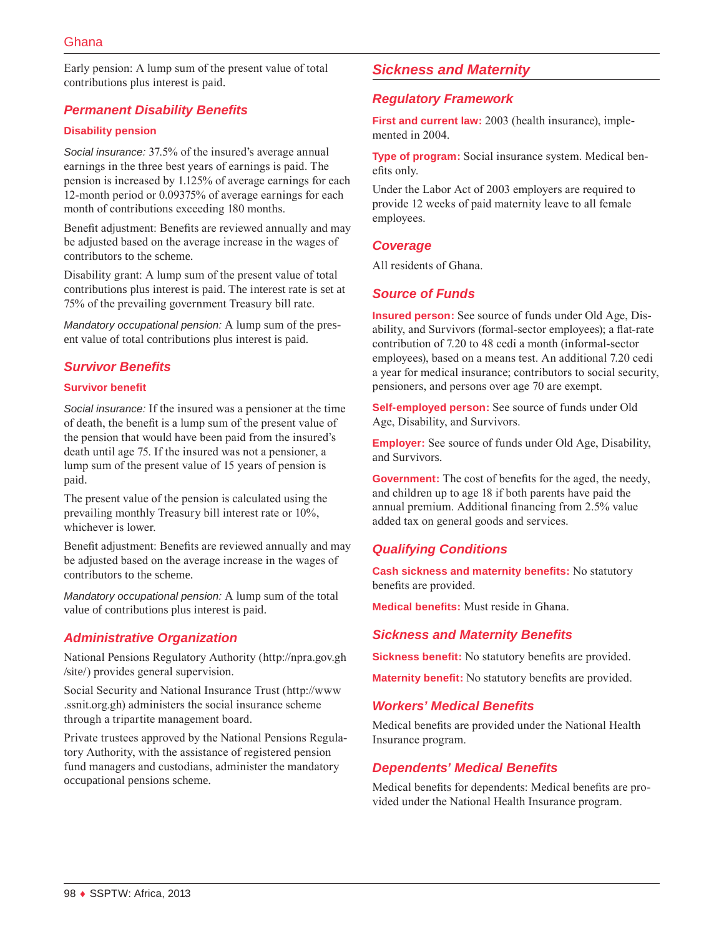Early pension: A lump sum of the present value of total contributions plus interest is paid.

# *Permanent Disability Benefits*

#### **Disability pension**

*Social insurance:* 37.5% of the insured's average annual earnings in the three best years of earnings is paid. The pension is increased by 1.125% of average earnings for each 12-month period or 0.09375% of average earnings for each month of contributions exceeding 180 months.

Benefit adjustment: Benefits are reviewed annually and may be adjusted based on the average increase in the wages of contributors to the scheme.

Disability grant: A lump sum of the present value of total contributions plus interest is paid. The interest rate is set at 75% of the prevailing government Treasury bill rate.

*Mandatory occupational pension:* A lump sum of the present value of total contributions plus interest is paid.

### *Survivor Benefits*

#### **Survivor benefit**

*Social insurance:* If the insured was a pensioner at the time of death, the benefit is a lump sum of the present value of the pension that would have been paid from the insured's death until age 75. If the insured was not a pensioner, a lump sum of the present value of 15 years of pension is paid.

The present value of the pension is calculated using the prevailing monthly Treasury bill interest rate or 10%, whichever is lower.

Benefit adjustment: Benefits are reviewed annually and may be adjusted based on the average increase in the wages of contributors to the scheme.

*Mandatory occupational pension:* A lump sum of the total value of contributions plus interest is paid.

# *Administrative Organization*

National Pensions Regulatory Authority [\(http://npra.gov.gh](http://npra.gov.gh/site/) [/site/](http://npra.gov.gh/site/)) provides general supervision.

Social Security and National Insurance Trust ([http://www](http://www.ssnit.org.gh) [.ssnit.org.gh\)](http://www.ssnit.org.gh) administers the social insurance scheme through a tripartite management board.

Private trustees approved by the National Pensions Regulatory Authority, with the assistance of registered pension fund managers and custodians, administer the mandatory occupational pensions scheme.

# *Sickness and Maternity*

### *Regulatory Framework*

**First and current law:** 2003 (health insurance), implemented in 2004.

**Type of program:** Social insurance system. Medical benefits only.

Under the Labor Act of 2003 employers are required to provide 12 weeks of paid maternity leave to all female employees.

#### *Coverage*

All residents of Ghana.

### *Source of Funds*

**Insured person:** See source of funds under Old Age, Disability, and Survivors (formal-sector employees); a flat-rate contribution of 7.20 to 48 cedi a month (informal-sector employees), based on a means test. An additional 7.20 cedi a year for medical insurance; contributors to social security, pensioners, and persons over age 70 are exempt.

**Self-employed person:** See source of funds under Old Age, Disability, and Survivors.

**Employer:** See source of funds under Old Age, Disability, and Survivors.

**Government:** The cost of benefits for the aged, the needy, and children up to age 18 if both parents have paid the annual premium. Additional financing from 2.5% value added tax on general goods and services.

### *Qualifying Conditions*

**Cash sickness and maternity benefits:** No statutory benefits are provided.

**Medical benefits:** Must reside in Ghana.

### *Sickness and Maternity Benefits*

**Sickness benefit:** No statutory benefits are provided.

**Maternity benefit:** No statutory benefits are provided.

### *Workers' Medical Benefits*

Medical benefits are provided under the National Health Insurance program.

### *Dependents' Medical Benefits*

Medical benefits for dependents: Medical benefits are provided under the National Health Insurance program.